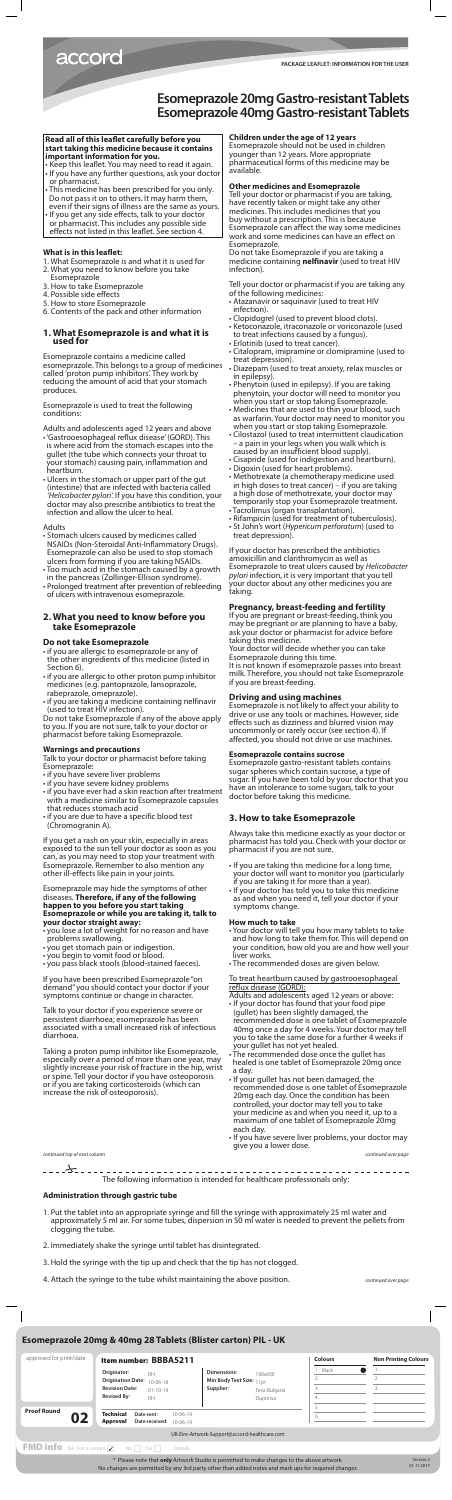#### **Read all of this leaflet carefully before you start taking this medicine because it contains important information for you.**

- Keep this leaflet. You may need to read it again. • If you have any further questions, ask your doctor
- or pharmacist.
- This medicine has been prescribed for you only. Do not pass it on to others. It may harm them, even if their signs of illness are the same as yours.
- If you get any side effects, talk to your doctor or pharmacist. This includes any possible side effects not listed in this leaflet. See section 4.

## **What is in this leaflet:**

- 1. What Esomeprazole is and what it is used for
- 2. What you need to know before you take Esomeprazole
- 3. How to take Esomeprazole
- 4. Possible side effects
- 5. How to store Esomeprazole
- 6. Contents of the pack and other information

### **1. What Esomeprazole is and what it is used for**

Esomeprazole contains a medicine called esomeprazole. This belongs to a group of medicines called 'proton pump inhibitors'. They work by reducing the amount of acid that your stomach produces.

Esomeprazole is used to treat the following conditions:

Adults and adolescents aged 12 years and above • 'Gastrooesophageal reflux disease' (GORD). This

- is where acid from the stomach escapes into the gullet (the tube which connects your throat to your stomach) causing pain, inflammation and heartburn.
- Ulcers in the stomach or upper part of the gut (intestine) that are infected with bacteria called *'Helicobacter pylori'.* If you have this condition, your doctor may also prescribe antibiotics to treat the infection and allow the ulcer to heal.

### Adults

- Stomach ulcers caused by medicines called NSAIDs (Non-Steroidal Anti-Inflammatory Drugs). Esomeprazole can also be used to stop stomach ulcers from forming if you are taking NSAIDs.
- Too much acid in the stomach caused by a growth in the pancreas (Zollinger-Ellison syndrome).
- Prolonged treatment after prevention of rebleeding of ulcers with intravenous esomeprazole.

## **2. What you need to know before you take Esomeprazole**

# **Do not take Esomeprazole**

- if you are allergic to esomeprazole or any of the other ingredients of this medicine (listed in Section 6).
- if you are allergic to other proton pump inhibitor medicines (e.g. pantoprazole, lansoprazole, rabeprazole, omeprazole).
- if you are taking a medicine containing nelfinavir

(used to treat HIV infection).

Do not take Esomeprazole if any of the above apply to you. If you are not sure, talk to your doctor or pharmacist before taking Esomeprazole.

### **Warnings and precautions**

Talk to your doctor or pharmacist before taking Esomeprazole:

- if you have severe liver problems
- if you have severe kidney problems
- if you have ever had a skin reaction after treatment with a medicine similar to Esomeprazole capsules that reduces stomach acid
- if you are due to have a specific blood test (Chromogranin A).

If you get a rash on your skin, especially in areas exposed to the sun tell your doctor as soon as you can, as you may need to stop your treatment with Esomeprazole. Remember to also mention any other ill-effects like pain in your joints.

Esomeprazole may hide the symptoms of other diseases. **Therefore, if any of the following happen to you before you start taking Esomeprazole or while you are taking it, talk to your doctor straight away:**

- you lose a lot of weight for no reason and have problems swallowing.
- you get stomach pain or indigestion.
- you begin to vomit food or blood.
- you pass black stools (blood-stained faeces).

If you have been prescribed Esomeprazole "on demand" you should contact your doctor if your symptoms continue or change in character.

Talk to your doctor if you experience severe or persistent diarrhoea; esomeprazole has been associated with a small increased risk of infectious diarrhoea.

Taking a proton pump inhibitor like Esomeprazole, especially over a period of more than one year, may slightly increase your risk of fracture in the hip, wrist or spine. Tell your doctor if you have osteoporosis or if you are taking corticosteroids (which can increase the risk of osteoporosis).

# **Children under the age of 12 years**

Esomeprazole should not be used in children younger than 12 years. More appropriate pharmaceutical forms of this medicine may be available.

### **Other medicines and Esomeprazole**

Tell your doctor or pharmacist if you are taking, have recently taken or might take any other medicines. This includes medicines that you buy without a prescription. This is because Esomeprazole can affect the way some medicines work and some medicines can have an effect on Esomeprazole.

Do not take Esomeprazole if you are taking a medicine containing **nelfinavir** (used to treat HIV infection).

Tell your doctor or pharmacist if you are taking any of the following medicines:

- Atazanavir or saquinavir (used to treat HIV infection).
- Clopidogrel (used to prevent blood clots).
- Ketoconazole, itraconazole or voriconazole (used to treat infections caused by a fungus).
- Erlotinib (used to treat cancer).
- Citalopram, imipramine or clomipramine (used to treat depression).
- Diazepam (used to treat anxiety, relax muscles or in epilepsy).
- Phenytoin (used in epilepsy). If you are taking phenytoin, your doctor will need to monitor you when you start or stop taking Esomeprazole.
- Medicines that are used to thin your blood, such as warfarin. Your doctor may need to monitor you when you start or stop taking Esomeprazole.
- Cilostazol (used to treat intermittent claudication – a pain in your legs when you walk which is caused by an insufficient blood supply).
- Cisapride (used for indigestion and heartburn).
- Digoxin (used for heart problems).
- Methotrexate (a chemotherapy medicine used in high doses to treat cancer) – if you are taking a high dose of methotrexate, your doctor may temporarily stop your Esomeprazole treatment.
- Tacrolimus (organ transplantation).
- Rifampicin (used for treatment of tuberculosis). • St John's wort (*Hypericum perforatum*) (used to
- treat depression).

If your doctor has prescribed the antibiotics amoxicillin and clarithromycin as well as Esomeprazole to treat ulcers caused by *Helicobacter pylori* infection, it is very important that you tell your doctor about any other medicines you are taking.

### **Pregnancy, breast-feeding and fertility**

If you are pregnant or breast-feeding, think you may be pregnant or are planning to have a baby, ask your doctor or pharmacist for advice before taking this medicine.

Your doctor will decide whether you can take Esomeprazole during this time.

It is not known if esomeprazole passes into breast milk. Therefore, you should not take Esomeprazole if you are breast-feeding.

# **Driving and using machines**

Esomeprazole is not likely to affect your ability to

drive or use any tools or machines. However, side effects such as dizziness and blurred vision may uncommonly or rarely occur (see section 4). If affected, you should not drive or use machines.

#### **Esomeprazole contains sucrose**

Esomeprazole gastro-resistant tablets contains sugar spheres which contain sucrose, a type of sugar. If you have been told by your doctor that you have an intolerance to some sugars, talk to your doctor before taking this medicine.

### **3. How to take Esomeprazole**

Always take this medicine exactly as your doctor or pharmacist has told you. Check with your doctor or pharmacist if you are not sure.

- If you are taking this medicine for a long time, your doctor will want to monitor you (particularly if you are taking it for more than a year).
- If your doctor has told you to take this medicine as and when you need it, tell your doctor if your symptoms change.

#### **How much to take**

- Your doctor will tell you how many tablets to take and how long to take them for. This will depend on your condition, how old you are and how well your liver works.
- The recommended doses are given below.

To treat heartburn caused by gastrooesophageal reflux disease (GORD):

Adults and adolescents aged 12 years or above:

- If your doctor has found that your food pipe (gullet) has been slightly damaged, the recommended dose is one tablet of Esomeprazole 40mg once a day for 4 weeks. Your doctor may tell you to take the same dose for a further 4 weeks if your gullet has not yet healed.
- The recommended dose once the gullet has healed is one tablet of Esomeprazole 20mg once a day.
- If your gullet has not been damaged, the recommended dose is one tablet of Esomeprazole 20mg each day. Once the condition has been controlled, your doctor may tell you to take your medicine as and when you need it, up to a maximum of one tablet of Esomeprazole 20mg each day.
- If you have severe liver problems, your doctor may give you a lower dose.

The following information is intended for healthcare professionals only:

### **Administration through gastric tube**

- 1. Put the tablet into an appropriate syringe and fill the syringe with approximately 25 ml water and approximately 5 ml air. For some tubes, dispersion in 50 ml water is needed to prevent the pellets from clogging the tube.
- 2. Immediately shake the syringe until tablet has disintegrated.
- 3. Hold the syringe with the tip up and check that the tip has not clogged.
- 4. Attach the syringe to the tube whilst maintaining the above position.

# accord

# **Esomeprazole 20mg Gastro-resistant Tablets Esomeprazole 40mg Gastro-resistant Tablets**

*continued top of next column continued over page*